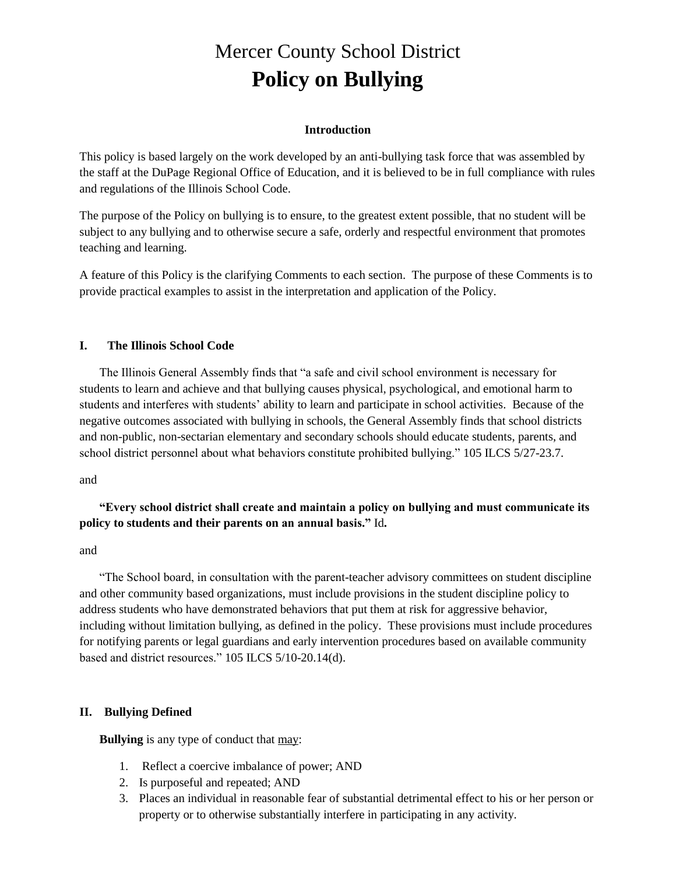# Mercer County School District **Policy on Bullying**

#### **Introduction**

This policy is based largely on the work developed by an anti-bullying task force that was assembled by the staff at the DuPage Regional Office of Education, and it is believed to be in full compliance with rules and regulations of the Illinois School Code.

The purpose of the Policy on bullying is to ensure, to the greatest extent possible, that no student will be subject to any bullying and to otherwise secure a safe, orderly and respectful environment that promotes teaching and learning.

A feature of this Policy is the clarifying Comments to each section. The purpose of these Comments is to provide practical examples to assist in the interpretation and application of the Policy.

## **I. The Illinois School Code**

The Illinois General Assembly finds that "a safe and civil school environment is necessary for students to learn and achieve and that bullying causes physical, psychological, and emotional harm to students and interferes with students' ability to learn and participate in school activities. Because of the negative outcomes associated with bullying in schools, the General Assembly finds that school districts and non-public, non-sectarian elementary and secondary schools should educate students, parents, and school district personnel about what behaviors constitute prohibited bullying." 105 ILCS 5/27-23.7.

and

# **"Every school district shall create and maintain a policy on bullying and must communicate its policy to students and their parents on an annual basis."** Id**.**

## and

"The School board, in consultation with the parent-teacher advisory committees on student discipline and other community based organizations, must include provisions in the student discipline policy to address students who have demonstrated behaviors that put them at risk for aggressive behavior, including without limitation bullying, as defined in the policy. These provisions must include procedures for notifying parents or legal guardians and early intervention procedures based on available community based and district resources." 105 ILCS 5/10-20.14(d).

# **II. Bullying Defined**

**Bullying** is any type of conduct that may:

- 1. Reflect a coercive imbalance of power; AND
- 2. Is purposeful and repeated; AND
- 3. Places an individual in reasonable fear of substantial detrimental effect to his or her person or property or to otherwise substantially interfere in participating in any activity.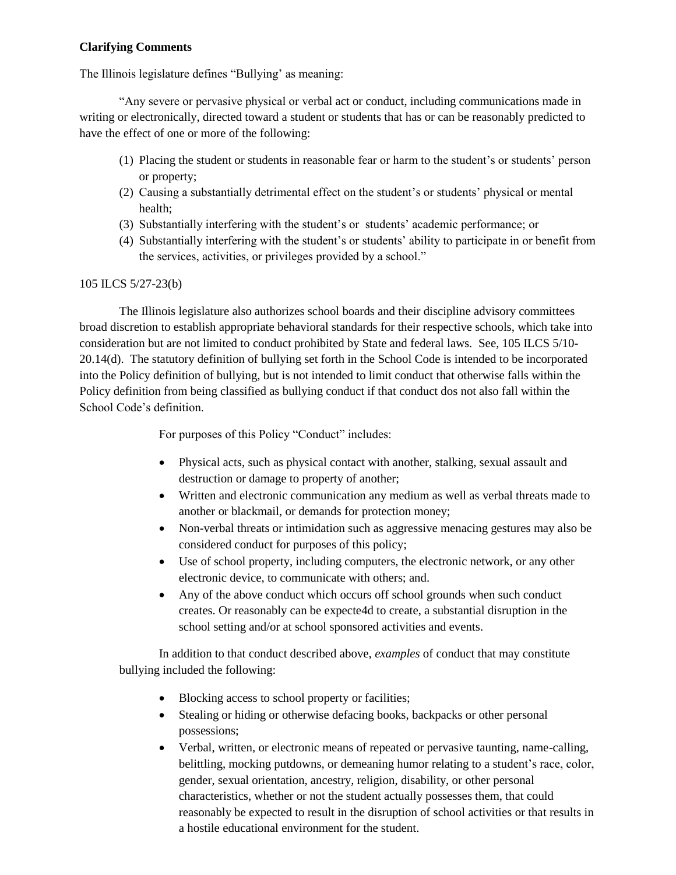#### **Clarifying Comments**

The Illinois legislature defines "Bullying' as meaning:

"Any severe or pervasive physical or verbal act or conduct, including communications made in writing or electronically, directed toward a student or students that has or can be reasonably predicted to have the effect of one or more of the following:

- (1) Placing the student or students in reasonable fear or harm to the student's or students' person or property;
- (2) Causing a substantially detrimental effect on the student's or students' physical or mental health;
- (3) Substantially interfering with the student's or students' academic performance; or
- (4) Substantially interfering with the student's or students' ability to participate in or benefit from the services, activities, or privileges provided by a school."

#### 105 ILCS 5/27-23(b)

The Illinois legislature also authorizes school boards and their discipline advisory committees broad discretion to establish appropriate behavioral standards for their respective schools, which take into consideration but are not limited to conduct prohibited by State and federal laws. See, 105 ILCS 5/10- 20.14(d). The statutory definition of bullying set forth in the School Code is intended to be incorporated into the Policy definition of bullying, but is not intended to limit conduct that otherwise falls within the Policy definition from being classified as bullying conduct if that conduct dos not also fall within the School Code's definition.

For purposes of this Policy "Conduct" includes:

- Physical acts, such as physical contact with another, stalking, sexual assault and destruction or damage to property of another;
- Written and electronic communication any medium as well as verbal threats made to another or blackmail, or demands for protection money;
- Non-verbal threats or intimidation such as aggressive menacing gestures may also be considered conduct for purposes of this policy;
- Use of school property, including computers, the electronic network, or any other electronic device, to communicate with others; and.
- Any of the above conduct which occurs off school grounds when such conduct creates. Or reasonably can be expecte4d to create, a substantial disruption in the school setting and/or at school sponsored activities and events.

In addition to that conduct described above, *examples* of conduct that may constitute bullying included the following:

- Blocking access to school property or facilities;
- Stealing or hiding or otherwise defacing books, backpacks or other personal possessions;
- Verbal, written, or electronic means of repeated or pervasive taunting, name-calling, belittling, mocking putdowns, or demeaning humor relating to a student's race, color, gender, sexual orientation, ancestry, religion, disability, or other personal characteristics, whether or not the student actually possesses them, that could reasonably be expected to result in the disruption of school activities or that results in a hostile educational environment for the student.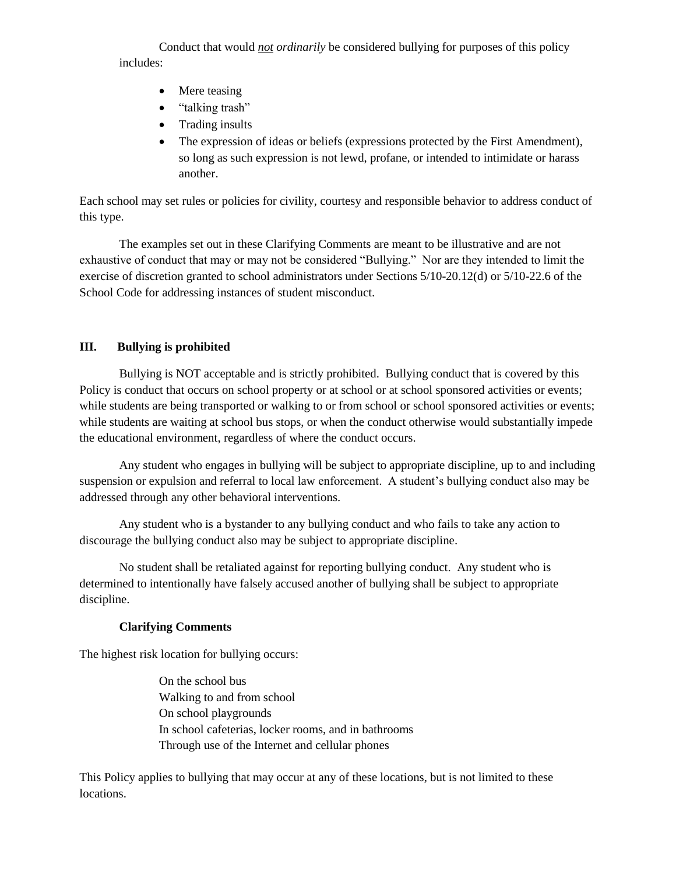Conduct that would *not ordinarily* be considered bullying for purposes of this policy includes:

- Mere teasing
- "talking trash"
- Trading insults
- The expression of ideas or beliefs (expressions protected by the First Amendment), so long as such expression is not lewd, profane, or intended to intimidate or harass another.

Each school may set rules or policies for civility, courtesy and responsible behavior to address conduct of this type.

The examples set out in these Clarifying Comments are meant to be illustrative and are not exhaustive of conduct that may or may not be considered "Bullying." Nor are they intended to limit the exercise of discretion granted to school administrators under Sections 5/10-20.12(d) or 5/10-22.6 of the School Code for addressing instances of student misconduct.

## **III. Bullying is prohibited**

Bullying is NOT acceptable and is strictly prohibited. Bullying conduct that is covered by this Policy is conduct that occurs on school property or at school or at school sponsored activities or events; while students are being transported or walking to or from school or school sponsored activities or events; while students are waiting at school bus stops, or when the conduct otherwise would substantially impede the educational environment, regardless of where the conduct occurs.

Any student who engages in bullying will be subject to appropriate discipline, up to and including suspension or expulsion and referral to local law enforcement. A student's bullying conduct also may be addressed through any other behavioral interventions.

Any student who is a bystander to any bullying conduct and who fails to take any action to discourage the bullying conduct also may be subject to appropriate discipline.

No student shall be retaliated against for reporting bullying conduct. Any student who is determined to intentionally have falsely accused another of bullying shall be subject to appropriate discipline.

## **Clarifying Comments**

The highest risk location for bullying occurs:

On the school bus Walking to and from school On school playgrounds In school cafeterias, locker rooms, and in bathrooms Through use of the Internet and cellular phones

This Policy applies to bullying that may occur at any of these locations, but is not limited to these locations.